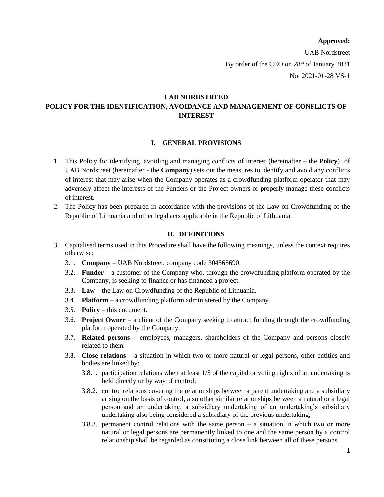### **Approved:**

UAB Nordstreet By order of the CEO on  $28<sup>th</sup>$  of January 2021 No. 2021-01-28 VS-1

# **UAB NORDSTREED POLICY FOR THE IDENTIFICATION, AVOIDANCE AND MANAGEMENT OF CONFLICTS OF INTEREST**

### **I. GENERAL PROVISIONS**

- 1. This Policy for identifying, avoiding and managing conflicts of interest (hereinafter the **Policy**) of UAB Nordstreet (hereinafter - the **Company**) sets out the measures to identify and avoid any conflicts of interest that may arise when the Company operates as a crowdfunding platform operator that may adversely affect the interests of the Funders or the Project owners or properly manage these conflicts of interest.
- 2. The Policy has been prepared in accordance with the provisions of the Law on Crowdfunding of the Republic of Lithuania and other legal acts applicable in the Republic of Lithuania.

### **II. DEFINITIONS**

- 3. Capitalised terms used in this Procedure shall have the following meanings, unless the context requires otherwise:
	- 3.1. **Company** UAB Nordstreet, company code 304565690.
	- 3.2. **Funder** a customer of the Company who, through the crowdfunding platform operated by the Company, is seeking to finance or has financed a project.
	- 3.3. **Law** the Law on Crowdfunding of the Republic of Lithuania.
	- 3.4. **Platform** a crowdfunding platform administered by the Company.
	- 3.5. **Policy** this document.
	- 3.6. **Project Owner** a client of the Company seeking to attract funding through the crowdfunding platform operated by the Company.
	- 3.7. **Related persons** employees, managers, shareholders of the Company and persons closely related to them.
	- 3.8. **Close relations** a situation in which two or more natural or legal persons, other entities and bodies are linked by:
		- 3.8.1. participation relations when at least 1/5 of the capital or voting rights of an undertaking is held directly or by way of control;
		- 3.8.2. control relations covering the relationships between a parent undertaking and a subsidiary arising on the basis of control, also other similar relationships between a natural or a legal person and an undertaking, a subsidiary undertaking of an undertaking's subsidiary undertaking also being considered a subsidiary of the previous undertaking;
		- 3.8.3. permanent control relations with the same person a situation in which two or more natural or legal persons are permanently linked to one and the same person by a control relationship shall be regarded as constituting a close link between all of these persons.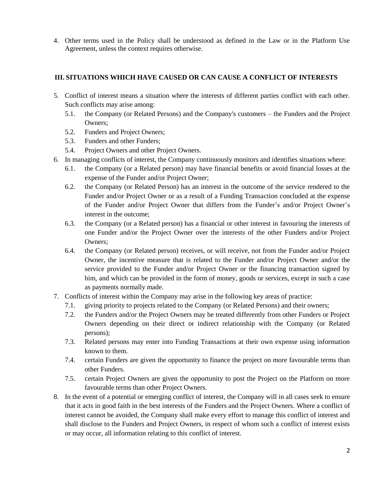4. Other terms used in the Policy shall be understood as defined in the Law or in the Platform Use Agreement, unless the context requires otherwise.

## **III. SITUATIONS WHICH HAVE CAUSED OR CAN CAUSE A CONFLICT OF INTERESTS**

- 5. Conflict of interest means a situation where the interests of different parties conflict with each other. Such conflicts may arise among:
	- 5.1. the Company (or Related Persons) and the Company's customers the Funders and the Project Owners;
	- 5.2. Funders and Project Owners;
	- 5.3. Funders and other Funders;
	- 5.4. Project Owners and other Project Owners.
- 6. In managing conflicts of interest, the Company continuously monitors and identifies situations where:
	- 6.1. the Company (or a Related person) may have financial benefits or avoid financial losses at the expense of the Funder and/or Project Owner;
	- 6.2. the Company (or Related Person) has an interest in the outcome of the service rendered to the Funder and/or Project Owner or as a result of a Funding Transaction concluded at the expense of the Funder and/or Project Owner that differs from the Funder's and/or Project Owner's interest in the outcome;
	- 6.3. the Company (or a Related person) has a financial or other interest in favouring the interests of one Funder and/or the Project Owner over the interests of the other Funders and/or Project Owners;
	- 6.4. the Company (or Related person) receives, or will receive, not from the Funder and/or Project Owner, the incentive measure that is related to the Funder and/or Project Owner and/or the service provided to the Funder and/or Project Owner or the financing transaction signed by him, and which can be provided in the form of money, goods or services, except in such a case as payments normally made.
- 7. Conflicts of interest within the Company may arise in the following key areas of practice:
	- 7.1. giving priority to projects related to the Company (or Related Persons) and their owners;
	- 7.2. the Funders and/or the Project Owners may be treated differently from other Funders or Project Owners depending on their direct or indirect relationship with the Company (or Related persons);
	- 7.3. Related persons may enter into Funding Transactions at their own expense using information known to them.
	- 7.4. certain Funders are given the opportunity to finance the project on more favourable terms than other Funders.
	- 7.5. certain Project Owners are given the opportunity to post the Project on the Platform on more favourable terms than other Project Owners.
- 8. In the event of a potential or emerging conflict of interest, the Company will in all cases seek to ensure that it acts in good faith in the best interests of the Funders and the Project Owners. Where a conflict of interest cannot be avoided, the Company shall make every effort to manage this conflict of interest and shall disclose to the Funders and Project Owners, in respect of whom such a conflict of interest exists or may occur, all information relating to this conflict of interest.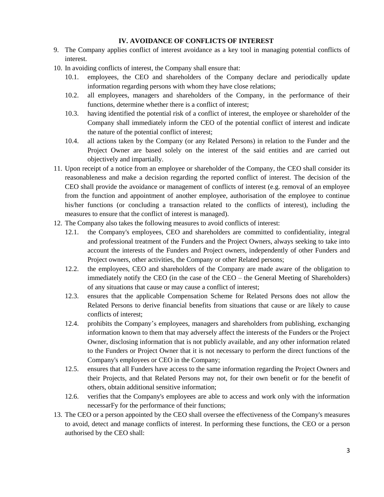## **IV. AVOIDANCE OF CONFLICTS OF INTEREST**

- 9. The Company applies conflict of interest avoidance as a key tool in managing potential conflicts of interest.
- 10. In avoiding conflicts of interest, the Company shall ensure that:
	- 10.1. employees, the CEO and shareholders of the Company declare and periodically update information regarding persons with whom they have close relations;
	- 10.2. all employees, managers and shareholders of the Company, in the performance of their functions, determine whether there is a conflict of interest;
	- 10.3. having identified the potential risk of a conflict of interest, the employee or shareholder of the Company shall immediately inform the CEO of the potential conflict of interest and indicate the nature of the potential conflict of interest;
	- 10.4. all actions taken by the Company (or any Related Persons) in relation to the Funder and the Project Owner are based solely on the interest of the said entities and are carried out objectively and impartially.
- 11. Upon receipt of a notice from an employee or shareholder of the Company, the CEO shall consider its reasonableness and make a decision regarding the reported conflict of interest. The decision of the CEO shall provide the avoidance or management of conflicts of interest (e.g. removal of an employee from the function and appointment of another employee, authorisation of the employee to continue his/her functions (or concluding a transaction related to the conflicts of interest), including the measures to ensure that the conflict of interest is managed).
- 12. The Company also takes the following measures to avoid conflicts of interest:
	- 12.1. the Company's employees, CEO and shareholders are committed to confidentiality, integral and professional treatment of the Funders and the Project Owners, always seeking to take into account the interests of the Funders and Project owners, independently of other Funders and Project owners, other activities, the Company or other Related persons;
	- 12.2. the employees, CEO and shareholders of the Company are made aware of the obligation to immediately notify the CEO (in the case of the CEO – the General Meeting of Shareholders) of any situations that cause or may cause a conflict of interest;
	- 12.3. ensures that the applicable Compensation Scheme for Related Persons does not allow the Related Persons to derive financial benefits from situations that cause or are likely to cause conflicts of interest;
	- 12.4. prohibits the Company's employees, managers and shareholders from publishing, exchanging information known to them that may adversely affect the interests of the Funders or the Project Owner, disclosing information that is not publicly available, and any other information related to the Funders or Project Owner that it is not necessary to perform the direct functions of the Company's employees or CEO in the Company;
	- 12.5. ensures that all Funders have access to the same information regarding the Project Owners and their Projects, and that Related Persons may not, for their own benefit or for the benefit of others, obtain additional sensitive information;
	- 12.6. verifies that the Company's employees are able to access and work only with the information necessarFy for the performance of their functions;
- 13. The CEO or a person appointed by the CEO shall oversee the effectiveness of the Company's measures to avoid, detect and manage conflicts of interest. In performing these functions, the CEO or a person authorised by the CEO shall: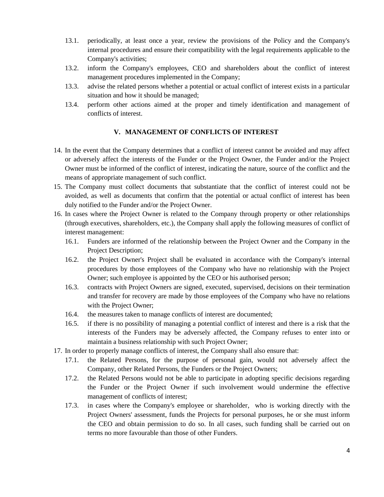- 13.1. periodically, at least once a year, review the provisions of the Policy and the Company's internal procedures and ensure their compatibility with the legal requirements applicable to the Company's activities;
- 13.2. inform the Company's employees, CEO and shareholders about the conflict of interest management procedures implemented in the Company;
- 13.3. advise the related persons whether a potential or actual conflict of interest exists in a particular situation and how it should be managed;
- 13.4. perform other actions aimed at the proper and timely identification and management of conflicts of interest.

### **V. MANAGEMENT OF CONFLICTS OF INTEREST**

- 14. In the event that the Company determines that a conflict of interest cannot be avoided and may affect or adversely affect the interests of the Funder or the Project Owner, the Funder and/or the Project Owner must be informed of the conflict of interest, indicating the nature, source of the conflict and the means of appropriate management of such conflict.
- 15. The Company must collect documents that substantiate that the conflict of interest could not be avoided, as well as documents that confirm that the potential or actual conflict of interest has been duly notified to the Funder and/or the Project Owner.
- 16. In cases where the Project Owner is related to the Company through property or other relationships (through executives, shareholders, etc.), the Company shall apply the following measures of conflict of interest management:
	- 16.1. Funders are informed of the relationship between the Project Owner and the Company in the Project Description;
	- 16.2. the Project Owner's Project shall be evaluated in accordance with the Company's internal procedures by those employees of the Company who have no relationship with the Project Owner; such employee is appointed by the CEO or his authorised person;
	- 16.3. contracts with Project Owners are signed, executed, supervised, decisions on their termination and transfer for recovery are made by those employees of the Company who have no relations with the Project Owner;
	- 16.4. the measures taken to manage conflicts of interest are documented;
	- 16.5. if there is no possibility of managing a potential conflict of interest and there is a risk that the interests of the Funders may be adversely affected, the Company refuses to enter into or maintain a business relationship with such Project Owner;
- 17. In order to properly manage conflicts of interest, the Company shall also ensure that:
	- 17.1. the Related Persons, for the purpose of personal gain, would not adversely affect the Company, other Related Persons, the Funders or the Project Owners;
	- 17.2. the Related Persons would not be able to participate in adopting specific decisions regarding the Funder or the Project Owner if such involvement would undermine the effective management of conflicts of interest;
	- 17.3. in cases where the Company's employee or shareholder, who is working directly with the Project Owners' assessment, funds the Projects for personal purposes, he or she must inform the CEO and obtain permission to do so. In all cases, such funding shall be carried out on terms no more favourable than those of other Funders.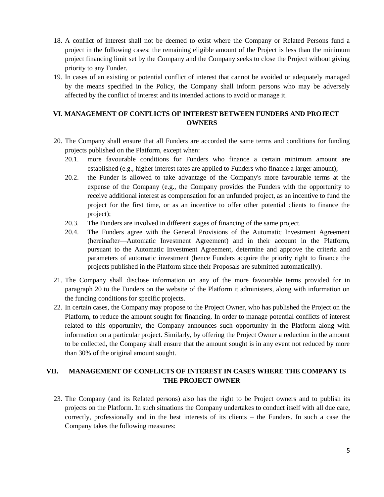- 18. A conflict of interest shall not be deemed to exist where the Company or Related Persons fund a project in the following cases: the remaining eligible amount of the Project is less than the minimum project financing limit set by the Company and the Company seeks to close the Project without giving priority to any Funder.
- 19. In cases of an existing or potential conflict of interest that cannot be avoided or adequately managed by the means specified in the Policy, the Company shall inform persons who may be adversely affected by the conflict of interest and its intended actions to avoid or manage it.

# **VI. MANAGEMENT OF CONFLICTS OF INTEREST BETWEEN FUNDERS AND PROJECT OWNERS**

- <span id="page-4-0"></span>20. The Company shall ensure that all Funders are accorded the same terms and conditions for funding projects published on the Platform, except when:
	- 20.1. more favourable conditions for Funders who finance a certain minimum amount are established (e.g., higher interest rates are applied to Funders who finance a larger amount);
	- 20.2. the Funder is allowed to take advantage of the Company's more favourable terms at the expense of the Company (e.g., the Company provides the Funders with the opportunity to receive additional interest as compensation for an unfunded project, as an incentive to fund the project for the first time, or as an incentive to offer other potential clients to finance the project);
	- 20.3. The Funders are involved in different stages of financing of the same project.
	- 20.4. The Funders agree with the General Provisions of the Automatic Investment Agreement (hereinafter—Automatic Investment Agreement) and in their account in the Platform, pursuant to the Automatic Investment Agreement, determine and approve the criteria and parameters of automatic investment (hence Funders acquire the priority right to finance the projects published in the Platform since their Proposals are submitted automatically).
- 21. The Company shall disclose information on any of the more favourable terms provided for in paragraph [20](#page-4-0) to the Funders on the website of the Platform it administers, along with information on the funding conditions for specific projects.
- 22. In certain cases, the Company may propose to the Project Owner, who has published the Project on the Platform, to reduce the amount sought for financing. In order to manage potential conflicts of interest related to this opportunity, the Company announces such opportunity in the Platform along with information on a particular project. Similarly, by offering the Project Owner a reduction in the amount to be collected, the Company shall ensure that the amount sought is in any event not reduced by more than 30% of the original amount sought.

# **VII. MANAGEMENT OF CONFLICTS OF INTEREST IN CASES WHERE THE COMPANY IS THE PROJECT OWNER**

23. The Company (and its Related persons) also has the right to be Project owners and to publish its projects on the Platform. In such situations the Company undertakes to conduct itself with all due care, correctly, professionally and in the best interests of its clients – the Funders. In such a case the Company takes the following measures: